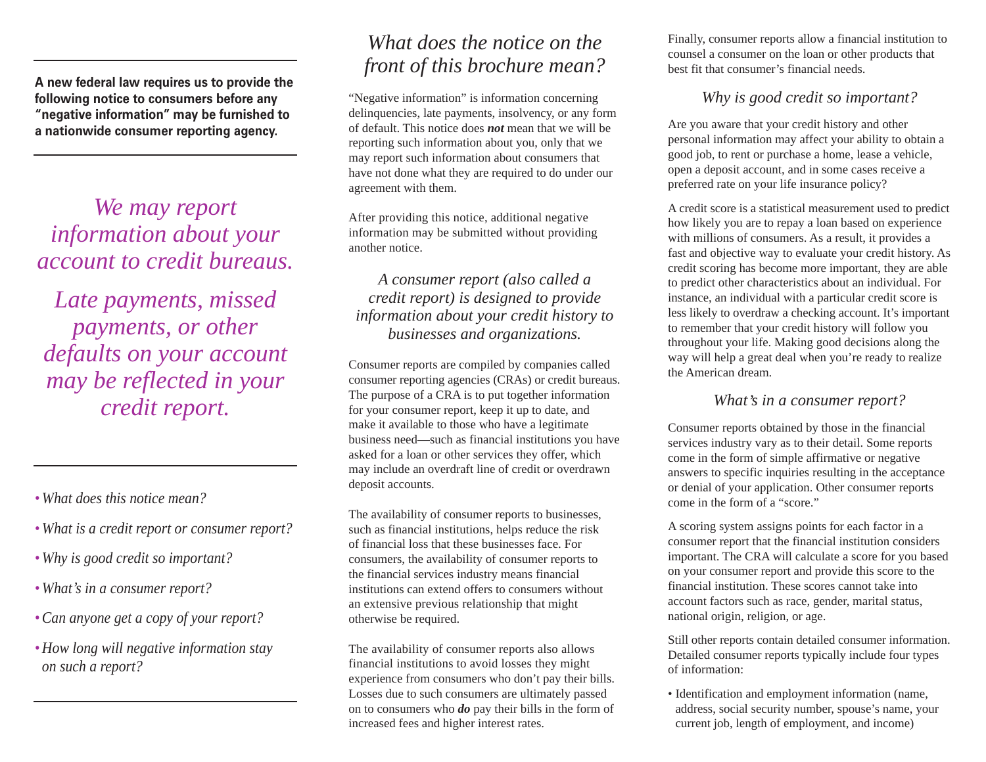**A new federal law requires us to provide the following notice to consumers before any "negative information" may be furnished to a nationwide consumer reporting agency.**

*We may report information about your account to credit bureaus.* 

*Late payments, missed payments, or other defaults on your account may be reflected in your credit report.*

- *What does this notice mean?*
- *What is a credit report or consumer report?*
- *Why is good credit so important?*
- *What , s in a consumer report?*
- •*Can anyone get a copy of your report?*
- *How long will negative information stay on such a report?*

# *What does the notice on the front of this brochure mean?*

"Negative information" is information concerning delinquencies, late payments, insolvency, or any form of default. This notice does *not* mean that we will be reporting such information about you, only that we may report such information about consumers that have not done what they are required to do under our agreement with them.

After providing this notice, additional negative information may be submitted without providing another notice.

*A consumer report (also called a credit report) is designed to provide information about your credit history to businesses and organizations.* 

Consumer reports are compiled by companies called consumer reporting agencies (CRAs) or credit bureaus. The purpose of a CRA is to put together information for your consumer report, keep it up to date, and make it available to those who have a legitimate business need—such as financial institutions you have asked for a loan or other services they offer, which may include an overdraft line of credit or overdrawn deposit accounts.

The availability of consumer reports to businesses, such as financial institutions, helps reduce the risk of financial loss that these businesses face. For consumers, the availability of consumer reports to the financial services industry means financial institutions can extend offers to consumers without an extensive previous relationship that might otherwise be required.

The availability of consumer reports also allows financial institutions to avoid losses they might experience from consumers who don't pay their bills. Losses due to such consumers are ultimately passed on to consumers who *do* pay their bills in the form of increased fees and higher interest rates.

Finally, consumer reports allow a financial institution to counsel a consumer on the loan or other products that best fit that consumer's financial needs.

## *Why is good credit so important?*

Are you aware that your credit history and other personal information may affect your ability to obtain a good job, to rent or purchase a home, lease a vehicle, open a deposit account, and in some cases receive a preferred rate on your life insurance policy?

A credit score is a statistical measurement used to predict how likely you are to repay a loan based on experience with millions of consumers. As a result, it provides a fast and objective way to evaluate your credit history. As credit scoring has become more important, they are able to predict other characteristics about an individual. For instance, an individual with a particular credit score is less likely to overdraw a checking account. It's important to remember that your credit history will follow you throughout your life. Making good decisions along the way will help a great deal when you're ready to realize the American dream.

# *What , s in a consumer report?*

Consumer reports obtained by those in the financial services industry vary as to their detail. Some reports come in the form of simple affirmative or negative answers to specific inquiries resulting in the acceptance or denial of your application. Other consumer reports come in the form of a "score."

A scoring system assigns points for each factor in a consumer report that the financial institution considers important. The CRA will calculate a score for you based on your consumer report and provide this score to the financial institution. These scores cannot take into account factors such as race, gender, marital status, national origin, religion, or age.

Still other reports contain detailed consumer information. Detailed consumer reports typically include four types of information:

• Identification and employment information (name, address, social security number, spouse's name, your current job, length of employment, and income)